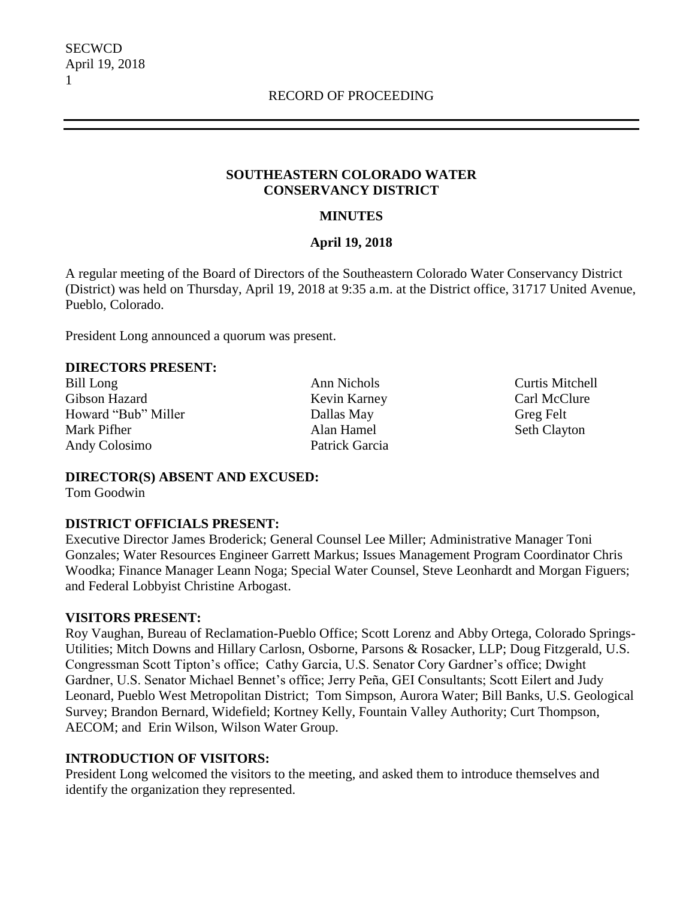#### **SOUTHEASTERN COLORADO WATER CONSERVANCY DISTRICT**

## **MINUTES**

### **April 19, 2018**

A regular meeting of the Board of Directors of the Southeastern Colorado Water Conservancy District (District) was held on Thursday, April 19, 2018 at 9:35 a.m. at the District office, 31717 United Avenue, Pueblo, Colorado.

President Long announced a quorum was present.

#### **DIRECTORS PRESENT:**

Bill Long **Ann Nichols** Curtis Mitchell Gibson Hazard **Kevin Karney** Carl McClure Howard "Bub" Miller Dallas May Greg Felt Mark Pifher Alan Hamel Seth Clayton Andy Colosimo Patrick Garcia

# **DIRECTOR(S) ABSENT AND EXCUSED:**

Tom Goodwin

# **DISTRICT OFFICIALS PRESENT:**

Executive Director James Broderick; General Counsel Lee Miller; Administrative Manager Toni Gonzales; Water Resources Engineer Garrett Markus; Issues Management Program Coordinator Chris Woodka; Finance Manager Leann Noga; Special Water Counsel, Steve Leonhardt and Morgan Figuers; and Federal Lobbyist Christine Arbogast.

# **VISITORS PRESENT:**

Roy Vaughan, Bureau of Reclamation-Pueblo Office; Scott Lorenz and Abby Ortega, Colorado Springs-Utilities; Mitch Downs and Hillary Carlosn, Osborne, Parsons & Rosacker, LLP; Doug Fitzgerald, U.S. Congressman Scott Tipton's office; Cathy Garcia, U.S. Senator Cory Gardner's office; Dwight Gardner, U.S. Senator Michael Bennet's office; Jerry Peña, GEI Consultants; Scott Eilert and Judy Leonard, Pueblo West Metropolitan District; Tom Simpson, Aurora Water; Bill Banks, U.S. Geological Survey; Brandon Bernard, Widefield; Kortney Kelly, Fountain Valley Authority; Curt Thompson, AECOM; and Erin Wilson, Wilson Water Group.

#### **INTRODUCTION OF VISITORS:**

President Long welcomed the visitors to the meeting, and asked them to introduce themselves and identify the organization they represented.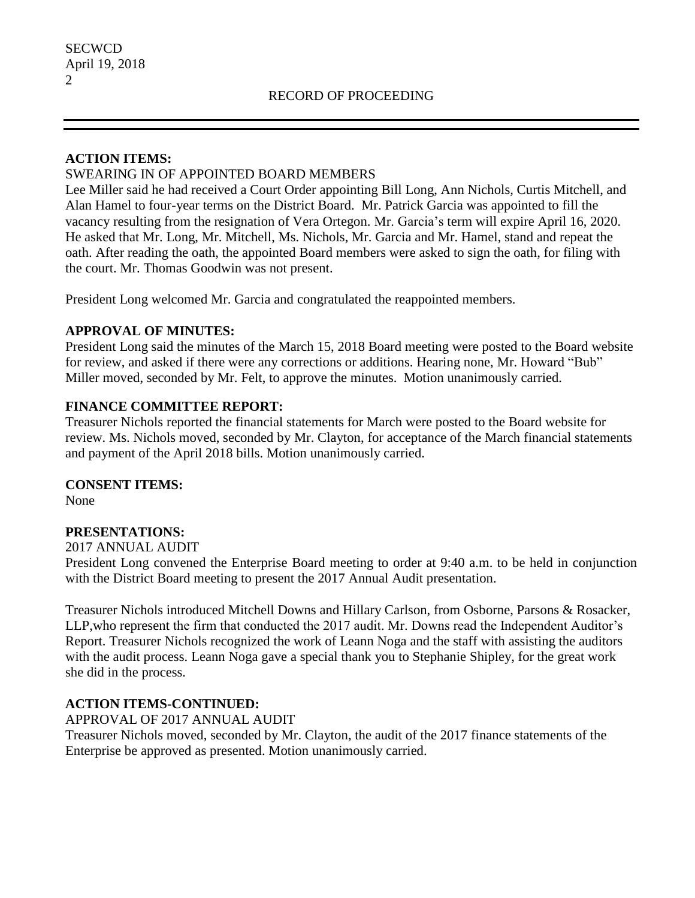#### **ACTION ITEMS:**

## SWEARING IN OF APPOINTED BOARD MEMBERS

Lee Miller said he had received a Court Order appointing Bill Long, Ann Nichols, Curtis Mitchell, and Alan Hamel to four-year terms on the District Board. Mr. Patrick Garcia was appointed to fill the vacancy resulting from the resignation of Vera Ortegon. Mr. Garcia's term will expire April 16, 2020. He asked that Mr. Long, Mr. Mitchell, Ms. Nichols, Mr. Garcia and Mr. Hamel, stand and repeat the oath. After reading the oath, the appointed Board members were asked to sign the oath, for filing with the court. Mr. Thomas Goodwin was not present.

President Long welcomed Mr. Garcia and congratulated the reappointed members.

# **APPROVAL OF MINUTES:**

President Long said the minutes of the March 15, 2018 Board meeting were posted to the Board website for review, and asked if there were any corrections or additions. Hearing none, Mr. Howard "Bub" Miller moved, seconded by Mr. Felt, to approve the minutes. Motion unanimously carried.

### **FINANCE COMMITTEE REPORT:**

Treasurer Nichols reported the financial statements for March were posted to the Board website for review. Ms. Nichols moved, seconded by Mr. Clayton, for acceptance of the March financial statements and payment of the April 2018 bills. Motion unanimously carried.

#### **CONSENT ITEMS:**

None

#### **PRESENTATIONS:**

2017 ANNUAL AUDIT President Long convened the Enterprise Board meeting to order at 9:40 a.m. to be held in conjunction with the District Board meeting to present the 2017 Annual Audit presentation.

Treasurer Nichols introduced Mitchell Downs and Hillary Carlson, from Osborne, Parsons & Rosacker, LLP,who represent the firm that conducted the 2017 audit. Mr. Downs read the Independent Auditor's Report. Treasurer Nichols recognized the work of Leann Noga and the staff with assisting the auditors with the audit process. Leann Noga gave a special thank you to Stephanie Shipley, for the great work she did in the process.

# **ACTION ITEMS-CONTINUED:**

APPROVAL OF 2017 ANNUAL AUDIT

Treasurer Nichols moved, seconded by Mr. Clayton, the audit of the 2017 finance statements of the Enterprise be approved as presented. Motion unanimously carried.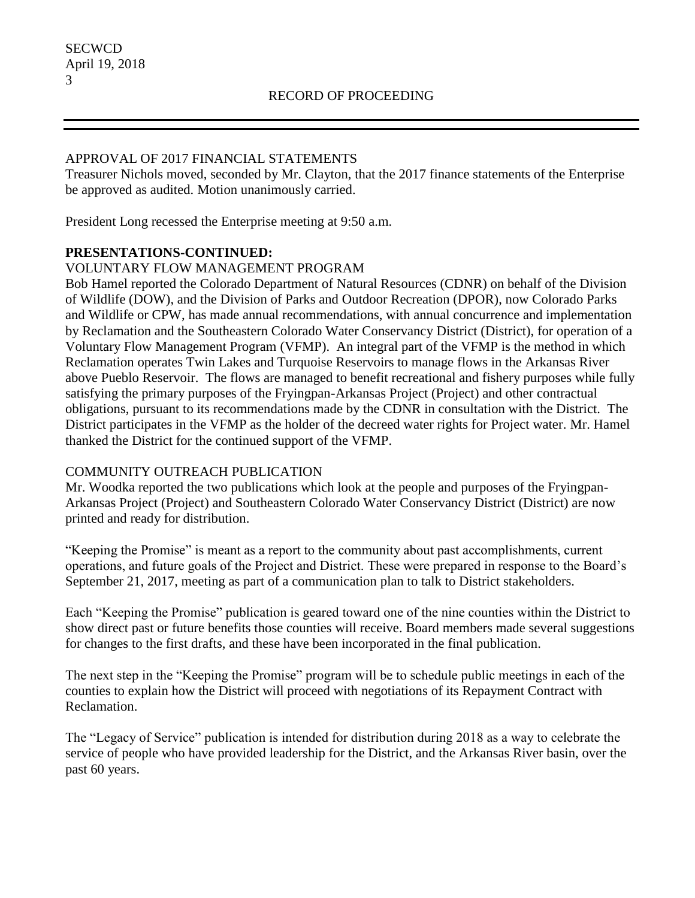# APPROVAL OF 2017 FINANCIAL STATEMENTS

Treasurer Nichols moved, seconded by Mr. Clayton, that the 2017 finance statements of the Enterprise be approved as audited. Motion unanimously carried.

President Long recessed the Enterprise meeting at 9:50 a.m.

### **PRESENTATIONS-CONTINUED:**

### VOLUNTARY FLOW MANAGEMENT PROGRAM

Bob Hamel reported the Colorado Department of Natural Resources (CDNR) on behalf of the Division of Wildlife (DOW), and the Division of Parks and Outdoor Recreation (DPOR), now Colorado Parks and Wildlife or CPW, has made annual recommendations, with annual concurrence and implementation by Reclamation and the Southeastern Colorado Water Conservancy District (District), for operation of a Voluntary Flow Management Program (VFMP). An integral part of the VFMP is the method in which Reclamation operates Twin Lakes and Turquoise Reservoirs to manage flows in the Arkansas River above Pueblo Reservoir. The flows are managed to benefit recreational and fishery purposes while fully satisfying the primary purposes of the Fryingpan-Arkansas Project (Project) and other contractual obligations, pursuant to its recommendations made by the CDNR in consultation with the District. The District participates in the VFMP as the holder of the decreed water rights for Project water. Mr. Hamel thanked the District for the continued support of the VFMP.

# COMMUNITY OUTREACH PUBLICATION

Mr. Woodka reported the two publications which look at the people and purposes of the Fryingpan-Arkansas Project (Project) and Southeastern Colorado Water Conservancy District (District) are now printed and ready for distribution.

"Keeping the Promise" is meant as a report to the community about past accomplishments, current operations, and future goals of the Project and District. These were prepared in response to the Board's September 21, 2017, meeting as part of a communication plan to talk to District stakeholders.

Each "Keeping the Promise" publication is geared toward one of the nine counties within the District to show direct past or future benefits those counties will receive. Board members made several suggestions for changes to the first drafts, and these have been incorporated in the final publication.

The next step in the "Keeping the Promise" program will be to schedule public meetings in each of the counties to explain how the District will proceed with negotiations of its Repayment Contract with Reclamation.

The "Legacy of Service" publication is intended for distribution during 2018 as a way to celebrate the service of people who have provided leadership for the District, and the Arkansas River basin, over the past 60 years.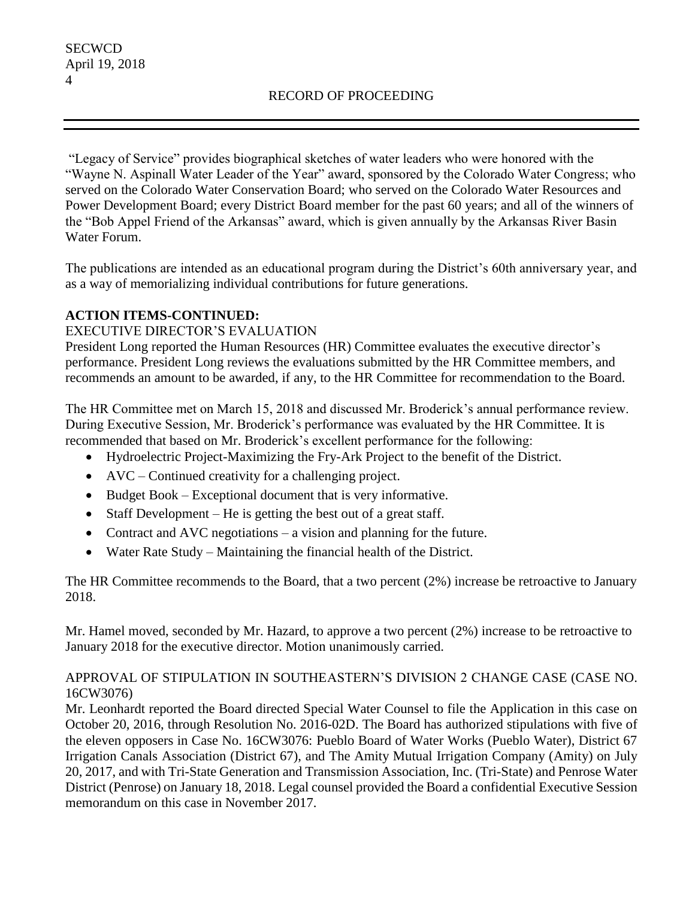"Legacy of Service" provides biographical sketches of water leaders who were honored with the "Wayne N. Aspinall Water Leader of the Year" award, sponsored by the Colorado Water Congress; who served on the Colorado Water Conservation Board; who served on the Colorado Water Resources and Power Development Board; every District Board member for the past 60 years; and all of the winners of the "Bob Appel Friend of the Arkansas" award, which is given annually by the Arkansas River Basin Water Forum.

The publications are intended as an educational program during the District's 60th anniversary year, and as a way of memorializing individual contributions for future generations.

# **ACTION ITEMS-CONTINUED:**

# EXECUTIVE DIRECTOR'S EVALUATION

President Long reported the Human Resources (HR) Committee evaluates the executive director's performance. President Long reviews the evaluations submitted by the HR Committee members, and recommends an amount to be awarded, if any, to the HR Committee for recommendation to the Board.

The HR Committee met on March 15, 2018 and discussed Mr. Broderick's annual performance review. During Executive Session, Mr. Broderick's performance was evaluated by the HR Committee. It is recommended that based on Mr. Broderick's excellent performance for the following:

- Hydroelectric Project-Maximizing the Fry-Ark Project to the benefit of the District.
- AVC Continued creativity for a challenging project.
- $\bullet$  Budget Book Exceptional document that is very informative.
- Staff Development He is getting the best out of a great staff.
- Contract and AVC negotiations a vision and planning for the future.
- Water Rate Study Maintaining the financial health of the District.

The HR Committee recommends to the Board, that a two percent (2%) increase be retroactive to January 2018.

Mr. Hamel moved, seconded by Mr. Hazard, to approve a two percent (2%) increase to be retroactive to January 2018 for the executive director. Motion unanimously carried.

# APPROVAL OF STIPULATION IN SOUTHEASTERN'S DIVISION 2 CHANGE CASE (CASE NO. 16CW3076)

Mr. Leonhardt reported the Board directed Special Water Counsel to file the Application in this case on October 20, 2016, through Resolution No. 2016-02D. The Board has authorized stipulations with five of the eleven opposers in Case No. 16CW3076: Pueblo Board of Water Works (Pueblo Water), District 67 Irrigation Canals Association (District 67), and The Amity Mutual Irrigation Company (Amity) on July 20, 2017, and with Tri-State Generation and Transmission Association, Inc. (Tri-State) and Penrose Water District (Penrose) on January 18, 2018. Legal counsel provided the Board a confidential Executive Session memorandum on this case in November 2017.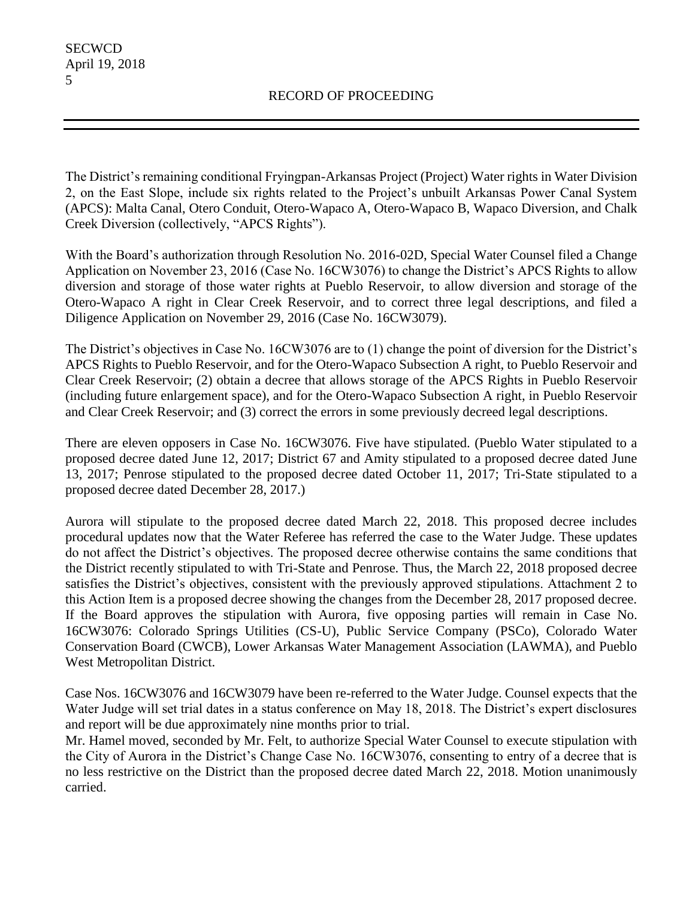The District's remaining conditional Fryingpan-Arkansas Project (Project) Water rights in Water Division 2, on the East Slope, include six rights related to the Project's unbuilt Arkansas Power Canal System (APCS): Malta Canal, Otero Conduit, Otero-Wapaco A, Otero-Wapaco B, Wapaco Diversion, and Chalk Creek Diversion (collectively, "APCS Rights").

With the Board's authorization through Resolution No. 2016-02D, Special Water Counsel filed a Change Application on November 23, 2016 (Case No. 16CW3076) to change the District's APCS Rights to allow diversion and storage of those water rights at Pueblo Reservoir, to allow diversion and storage of the Otero-Wapaco A right in Clear Creek Reservoir, and to correct three legal descriptions, and filed a Diligence Application on November 29, 2016 (Case No. 16CW3079).

The District's objectives in Case No. 16CW3076 are to (1) change the point of diversion for the District's APCS Rights to Pueblo Reservoir, and for the Otero-Wapaco Subsection A right, to Pueblo Reservoir and Clear Creek Reservoir; (2) obtain a decree that allows storage of the APCS Rights in Pueblo Reservoir (including future enlargement space), and for the Otero-Wapaco Subsection A right, in Pueblo Reservoir and Clear Creek Reservoir; and (3) correct the errors in some previously decreed legal descriptions.

There are eleven opposers in Case No. 16CW3076. Five have stipulated. (Pueblo Water stipulated to a proposed decree dated June 12, 2017; District 67 and Amity stipulated to a proposed decree dated June 13, 2017; Penrose stipulated to the proposed decree dated October 11, 2017; Tri-State stipulated to a proposed decree dated December 28, 2017.)

Aurora will stipulate to the proposed decree dated March 22, 2018. This proposed decree includes procedural updates now that the Water Referee has referred the case to the Water Judge. These updates do not affect the District's objectives. The proposed decree otherwise contains the same conditions that the District recently stipulated to with Tri-State and Penrose. Thus, the March 22, 2018 proposed decree satisfies the District's objectives, consistent with the previously approved stipulations. Attachment 2 to this Action Item is a proposed decree showing the changes from the December 28, 2017 proposed decree. If the Board approves the stipulation with Aurora, five opposing parties will remain in Case No. 16CW3076: Colorado Springs Utilities (CS-U), Public Service Company (PSCo), Colorado Water Conservation Board (CWCB), Lower Arkansas Water Management Association (LAWMA), and Pueblo West Metropolitan District.

Case Nos. 16CW3076 and 16CW3079 have been re-referred to the Water Judge. Counsel expects that the Water Judge will set trial dates in a status conference on May 18, 2018. The District's expert disclosures and report will be due approximately nine months prior to trial.

Mr. Hamel moved, seconded by Mr. Felt, to authorize Special Water Counsel to execute stipulation with the City of Aurora in the District's Change Case No. 16CW3076, consenting to entry of a decree that is no less restrictive on the District than the proposed decree dated March 22, 2018. Motion unanimously carried.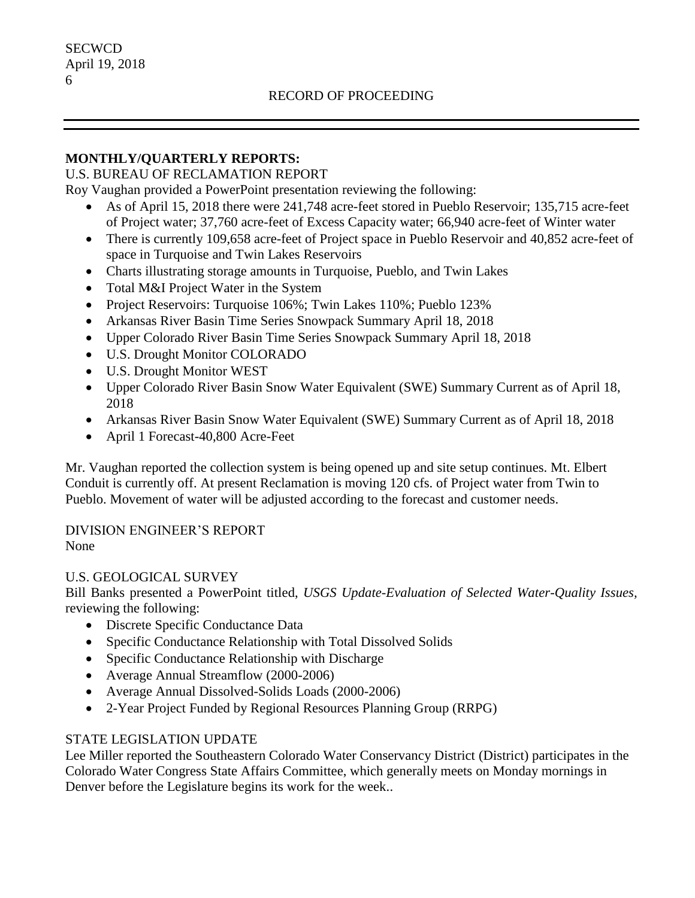#### **MONTHLY/QUARTERLY REPORTS:**

#### U.S. BUREAU OF RECLAMATION REPORT

Roy Vaughan provided a PowerPoint presentation reviewing the following:

- As of April 15, 2018 there were 241,748 acre-feet stored in Pueblo Reservoir; 135,715 acre-feet of Project water; 37,760 acre-feet of Excess Capacity water; 66,940 acre-feet of Winter water
- There is currently 109,658 acre-feet of Project space in Pueblo Reservoir and 40,852 acre-feet of space in Turquoise and Twin Lakes Reservoirs
- Charts illustrating storage amounts in Turquoise, Pueblo, and Twin Lakes
- Total M&I Project Water in the System
- Project Reservoirs: Turquoise 106%; Twin Lakes 110%; Pueblo 123%
- Arkansas River Basin Time Series Snowpack Summary April 18, 2018
- Upper Colorado River Basin Time Series Snowpack Summary April 18, 2018
- U.S. Drought Monitor COLORADO
- U.S. Drought Monitor WEST
- Upper Colorado River Basin Snow Water Equivalent (SWE) Summary Current as of April 18, 2018
- Arkansas River Basin Snow Water Equivalent (SWE) Summary Current as of April 18, 2018
- April 1 Forecast-40,800 Acre-Feet

Mr. Vaughan reported the collection system is being opened up and site setup continues. Mt. Elbert Conduit is currently off. At present Reclamation is moving 120 cfs. of Project water from Twin to Pueblo. Movement of water will be adjusted according to the forecast and customer needs.

# DIVISION ENGINEER'S REPORT

# None

#### U.S. GEOLOGICAL SURVEY

Bill Banks presented a PowerPoint titled, *USGS Update*-*Evaluation of Selected Water-Quality Issues,*  reviewing the following:

- Discrete Specific Conductance Data
- Specific Conductance Relationship with Total Dissolved Solids
- Specific Conductance Relationship with Discharge
- Average Annual Streamflow (2000-2006)
- Average Annual Dissolved-Solids Loads (2000-2006)
- 2-Year Project Funded by Regional Resources Planning Group (RRPG)

#### STATE LEGISLATION UPDATE

Lee Miller reported the Southeastern Colorado Water Conservancy District (District) participates in the Colorado Water Congress State Affairs Committee, which generally meets on Monday mornings in Denver before the Legislature begins its work for the week..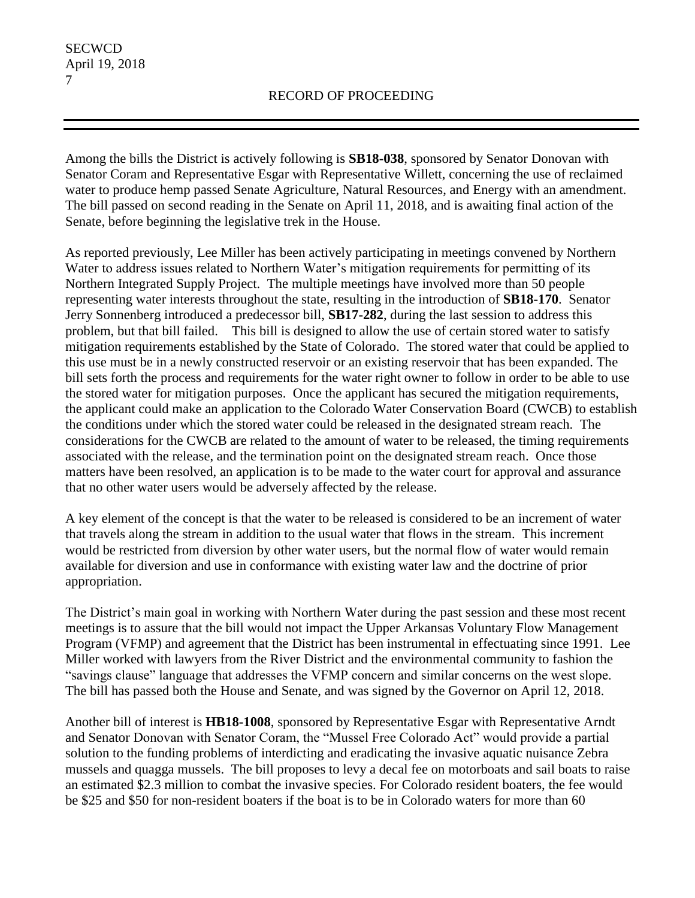Among the bills the District is actively following is **SB18-038**, sponsored by Senator Donovan with Senator Coram and Representative Esgar with Representative Willett, concerning the use of reclaimed water to produce hemp passed Senate Agriculture, Natural Resources, and Energy with an amendment. The bill passed on second reading in the Senate on April 11, 2018, and is awaiting final action of the Senate, before beginning the legislative trek in the House.

As reported previously, Lee Miller has been actively participating in meetings convened by Northern Water to address issues related to Northern Water's mitigation requirements for permitting of its Northern Integrated Supply Project. The multiple meetings have involved more than 50 people representing water interests throughout the state, resulting in the introduction of **SB18-170**. Senator Jerry Sonnenberg introduced a predecessor bill, **SB17-282**, during the last session to address this problem, but that bill failed. This bill is designed to allow the use of certain stored water to satisfy mitigation requirements established by the State of Colorado. The stored water that could be applied to this use must be in a newly constructed reservoir or an existing reservoir that has been expanded. The bill sets forth the process and requirements for the water right owner to follow in order to be able to use the stored water for mitigation purposes. Once the applicant has secured the mitigation requirements, the applicant could make an application to the Colorado Water Conservation Board (CWCB) to establish the conditions under which the stored water could be released in the designated stream reach. The considerations for the CWCB are related to the amount of water to be released, the timing requirements associated with the release, and the termination point on the designated stream reach. Once those matters have been resolved, an application is to be made to the water court for approval and assurance that no other water users would be adversely affected by the release.

A key element of the concept is that the water to be released is considered to be an increment of water that travels along the stream in addition to the usual water that flows in the stream. This increment would be restricted from diversion by other water users, but the normal flow of water would remain available for diversion and use in conformance with existing water law and the doctrine of prior appropriation.

The District's main goal in working with Northern Water during the past session and these most recent meetings is to assure that the bill would not impact the Upper Arkansas Voluntary Flow Management Program (VFMP) and agreement that the District has been instrumental in effectuating since 1991. Lee Miller worked with lawyers from the River District and the environmental community to fashion the "savings clause" language that addresses the VFMP concern and similar concerns on the west slope. The bill has passed both the House and Senate, and was signed by the Governor on April 12, 2018.

Another bill of interest is **HB18-1008**, sponsored by Representative Esgar with Representative Arndt and Senator Donovan with Senator Coram, the "Mussel Free Colorado Act" would provide a partial solution to the funding problems of interdicting and eradicating the invasive aquatic nuisance Zebra mussels and quagga mussels. The bill proposes to levy a decal fee on motorboats and sail boats to raise an estimated \$2.3 million to combat the invasive species. For Colorado resident boaters, the fee would be \$25 and \$50 for non-resident boaters if the boat is to be in Colorado waters for more than 60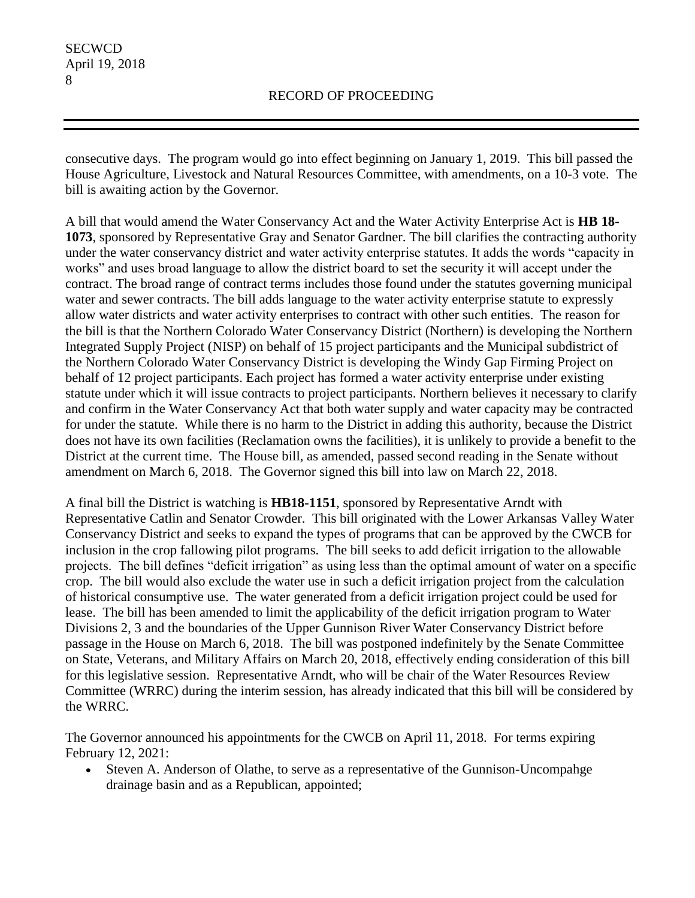consecutive days. The program would go into effect beginning on January 1, 2019. This bill passed the House Agriculture, Livestock and Natural Resources Committee, with amendments, on a 10-3 vote. The bill is awaiting action by the Governor.

A bill that would amend the Water Conservancy Act and the Water Activity Enterprise Act is **HB 18- 1073**, sponsored by Representative Gray and Senator Gardner. The bill clarifies the contracting authority under the water conservancy district and water activity enterprise statutes. It adds the words "capacity in works" and uses broad language to allow the district board to set the security it will accept under the contract. The broad range of contract terms includes those found under the statutes governing municipal water and sewer contracts. The bill adds language to the water activity enterprise statute to expressly allow water districts and water activity enterprises to contract with other such entities. The reason for the bill is that the Northern Colorado Water Conservancy District (Northern) is developing the Northern Integrated Supply Project (NISP) on behalf of 15 project participants and the Municipal subdistrict of the Northern Colorado Water Conservancy District is developing the Windy Gap Firming Project on behalf of 12 project participants. Each project has formed a water activity enterprise under existing statute under which it will issue contracts to project participants. Northern believes it necessary to clarify and confirm in the Water Conservancy Act that both water supply and water capacity may be contracted for under the statute. While there is no harm to the District in adding this authority, because the District does not have its own facilities (Reclamation owns the facilities), it is unlikely to provide a benefit to the District at the current time. The House bill, as amended, passed second reading in the Senate without amendment on March 6, 2018. The Governor signed this bill into law on March 22, 2018.

A final bill the District is watching is **HB18-1151**, sponsored by Representative Arndt with Representative Catlin and Senator Crowder. This bill originated with the Lower Arkansas Valley Water Conservancy District and seeks to expand the types of programs that can be approved by the CWCB for inclusion in the crop fallowing pilot programs. The bill seeks to add deficit irrigation to the allowable projects. The bill defines "deficit irrigation" as using less than the optimal amount of water on a specific crop. The bill would also exclude the water use in such a deficit irrigation project from the calculation of historical consumptive use. The water generated from a deficit irrigation project could be used for lease. The bill has been amended to limit the applicability of the deficit irrigation program to Water Divisions 2, 3 and the boundaries of the Upper Gunnison River Water Conservancy District before passage in the House on March 6, 2018. The bill was postponed indefinitely by the Senate Committee on State, Veterans, and Military Affairs on March 20, 2018, effectively ending consideration of this bill for this legislative session. Representative Arndt, who will be chair of the Water Resources Review Committee (WRRC) during the interim session, has already indicated that this bill will be considered by the WRRC.

The Governor announced his appointments for the CWCB on April 11, 2018. For terms expiring February 12, 2021:

 Steven A. Anderson of Olathe, to serve as a representative of the Gunnison-Uncompahge drainage basin and as a Republican, appointed;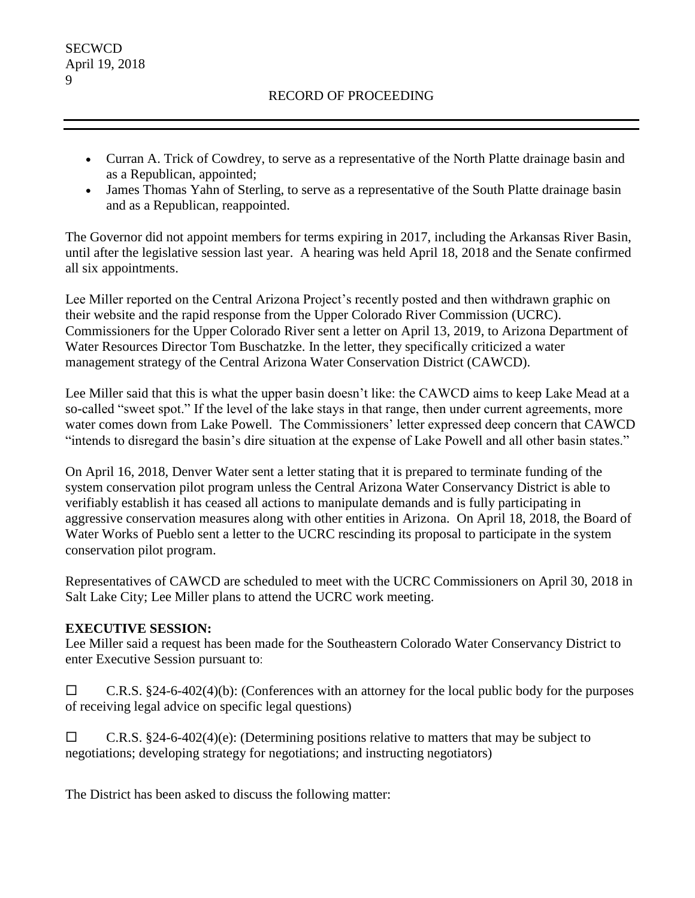### RECORD OF PROCEEDING

- Curran A. Trick of Cowdrey, to serve as a representative of the North Platte drainage basin and as a Republican, appointed;
- James Thomas Yahn of Sterling, to serve as a representative of the South Platte drainage basin and as a Republican, reappointed.

The Governor did not appoint members for terms expiring in 2017, including the Arkansas River Basin, until after the legislative session last year. A hearing was held April 18, 2018 and the Senate confirmed all six appointments.

Lee Miller reported on the Central Arizona Project's recently posted and then withdrawn graphic on their website and the rapid response from the Upper Colorado River Commission (UCRC). Commissioners for the Upper Colorado River sent a letter on April 13, 2019, to Arizona Department of Water Resources Director Tom Buschatzke. In the letter, they specifically criticized a water management strategy of the Central Arizona Water Conservation District (CAWCD).

Lee Miller said that this is what the upper basin doesn't like: the CAWCD aims to keep Lake Mead at a so-called "sweet spot." If the level of the lake stays in that range, then under current agreements, more water comes down from Lake Powell. The Commissioners' letter expressed deep concern that CAWCD "intends to disregard the basin's dire situation at the expense of Lake Powell and all other basin states."

On April 16, 2018, Denver Water sent a letter stating that it is prepared to terminate funding of the system conservation pilot program unless the Central Arizona Water Conservancy District is able to verifiably establish it has ceased all actions to manipulate demands and is fully participating in aggressive conservation measures along with other entities in Arizona. On April 18, 2018, the Board of Water Works of Pueblo sent a letter to the UCRC rescinding its proposal to participate in the system conservation pilot program.

Representatives of CAWCD are scheduled to meet with the UCRC Commissioners on April 30, 2018 in Salt Lake City; Lee Miller plans to attend the UCRC work meeting.

# **EXECUTIVE SESSION:**

Lee Miller said a request has been made for the Southeastern Colorado Water Conservancy District to enter Executive Session pursuant to:

 $\Box$  C.R.S. §24-6-402(4)(b): (Conferences with an attorney for the local public body for the purposes of receiving legal advice on specific legal questions)

 $\Box$  C.R.S. §24-6-402(4)(e): (Determining positions relative to matters that may be subject to negotiations; developing strategy for negotiations; and instructing negotiators)

The District has been asked to discuss the following matter: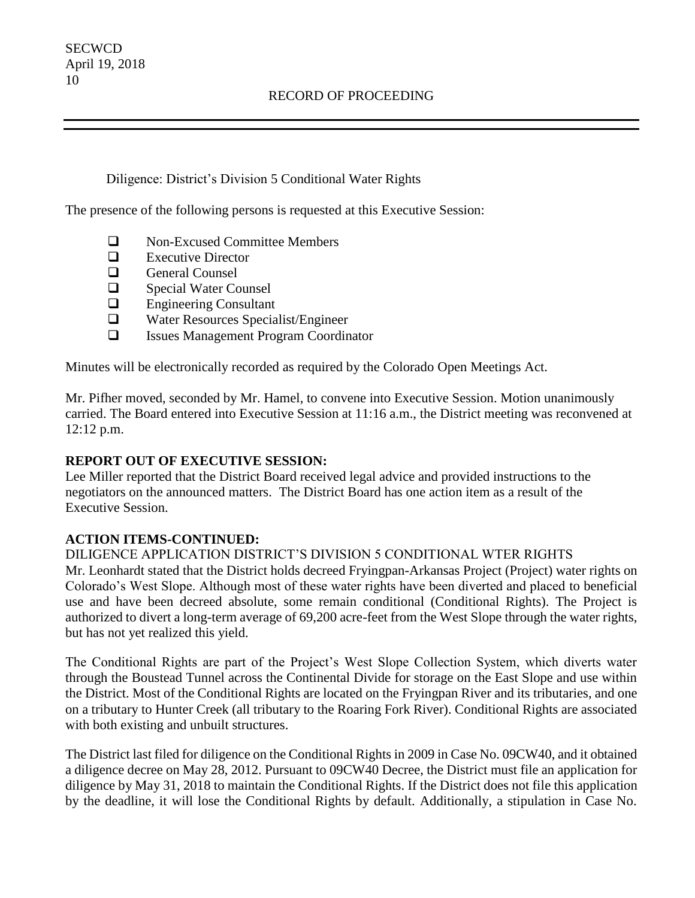#### Diligence: District's Division 5 Conditional Water Rights

The presence of the following persons is requested at this Executive Session:

- □ Non-Excused Committee Members
- $\Box$  Executive Director
- **C** General Counsel
- □ Special Water Counsel
- **Engineering Consultant**
- Water Resources Specialist/Engineer
- Issues Management Program Coordinator

Minutes will be electronically recorded as required by the Colorado Open Meetings Act.

Mr. Pifher moved, seconded by Mr. Hamel, to convene into Executive Session. Motion unanimously carried. The Board entered into Executive Session at 11:16 a.m., the District meeting was reconvened at 12:12 p.m.

# **REPORT OUT OF EXECUTIVE SESSION:**

Lee Miller reported that the District Board received legal advice and provided instructions to the negotiators on the announced matters. The District Board has one action item as a result of the Executive Session.

# **ACTION ITEMS-CONTINUED:**

DILIGENCE APPLICATION DISTRICT'S DIVISION 5 CONDITIONAL WTER RIGHTS Mr. Leonhardt stated that the District holds decreed Fryingpan-Arkansas Project (Project) water rights on Colorado's West Slope. Although most of these water rights have been diverted and placed to beneficial use and have been decreed absolute, some remain conditional (Conditional Rights). The Project is authorized to divert a long-term average of 69,200 acre-feet from the West Slope through the water rights, but has not yet realized this yield.

The Conditional Rights are part of the Project's West Slope Collection System, which diverts water through the Boustead Tunnel across the Continental Divide for storage on the East Slope and use within the District. Most of the Conditional Rights are located on the Fryingpan River and its tributaries, and one on a tributary to Hunter Creek (all tributary to the Roaring Fork River). Conditional Rights are associated with both existing and unbuilt structures.

The District last filed for diligence on the Conditional Rights in 2009 in Case No. 09CW40, and it obtained a diligence decree on May 28, 2012. Pursuant to 09CW40 Decree, the District must file an application for diligence by May 31, 2018 to maintain the Conditional Rights. If the District does not file this application by the deadline, it will lose the Conditional Rights by default. Additionally, a stipulation in Case No.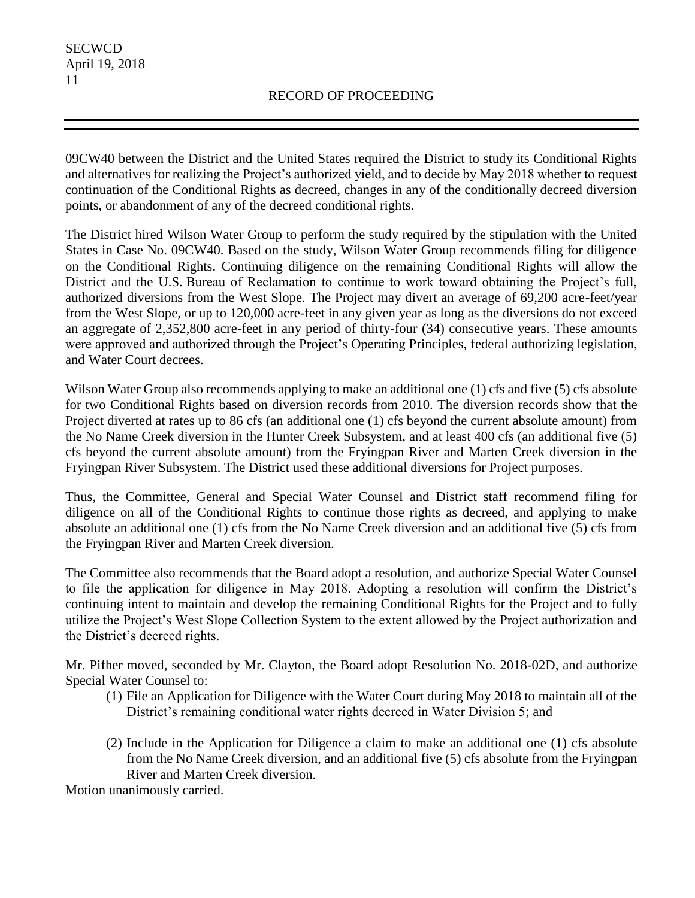09CW40 between the District and the United States required the District to study its Conditional Rights and alternatives for realizing the Project's authorized yield, and to decide by May 2018 whether to request continuation of the Conditional Rights as decreed, changes in any of the conditionally decreed diversion points, or abandonment of any of the decreed conditional rights.

The District hired Wilson Water Group to perform the study required by the stipulation with the United States in Case No. 09CW40. Based on the study, Wilson Water Group recommends filing for diligence on the Conditional Rights. Continuing diligence on the remaining Conditional Rights will allow the District and the U.S. Bureau of Reclamation to continue to work toward obtaining the Project's full, authorized diversions from the West Slope. The Project may divert an average of 69,200 acre-feet/year from the West Slope, or up to 120,000 acre-feet in any given year as long as the diversions do not exceed an aggregate of 2,352,800 acre-feet in any period of thirty-four (34) consecutive years. These amounts were approved and authorized through the Project's Operating Principles, federal authorizing legislation, and Water Court decrees.

Wilson Water Group also recommends applying to make an additional one (1) cfs and five (5) cfs absolute for two Conditional Rights based on diversion records from 2010. The diversion records show that the Project diverted at rates up to 86 cfs (an additional one (1) cfs beyond the current absolute amount) from the No Name Creek diversion in the Hunter Creek Subsystem, and at least 400 cfs (an additional five (5) cfs beyond the current absolute amount) from the Fryingpan River and Marten Creek diversion in the Fryingpan River Subsystem. The District used these additional diversions for Project purposes.

Thus, the Committee, General and Special Water Counsel and District staff recommend filing for diligence on all of the Conditional Rights to continue those rights as decreed, and applying to make absolute an additional one (1) cfs from the No Name Creek diversion and an additional five (5) cfs from the Fryingpan River and Marten Creek diversion.

The Committee also recommends that the Board adopt a resolution, and authorize Special Water Counsel to file the application for diligence in May 2018. Adopting a resolution will confirm the District's continuing intent to maintain and develop the remaining Conditional Rights for the Project and to fully utilize the Project's West Slope Collection System to the extent allowed by the Project authorization and the District's decreed rights.

Mr. Pifher moved, seconded by Mr. Clayton, the Board adopt Resolution No. 2018-02D, and authorize Special Water Counsel to:

- (1) File an Application for Diligence with the Water Court during May 2018 to maintain all of the District's remaining conditional water rights decreed in Water Division 5; and
- (2) Include in the Application for Diligence a claim to make an additional one (1) cfs absolute from the No Name Creek diversion, and an additional five (5) cfs absolute from the Fryingpan River and Marten Creek diversion.

Motion unanimously carried.